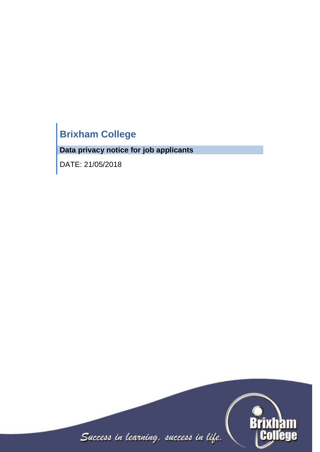# **Brixham College**

**Data privacy notice for job applicants**

DATE: 21/05/2018

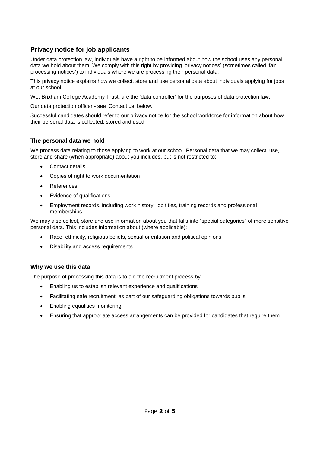## **Privacy notice for job applicants**

Under data protection law, individuals have a right to be informed about how the school uses any personal data we hold about them. We comply with this right by providing 'privacy notices' (sometimes called 'fair processing notices') to individuals where we are processing their personal data.

This privacy notice explains how we collect, store and use personal data about individuals applying for jobs at our school.

We, Brixham College Academy Trust, are the 'data controller' for the purposes of data protection law.

Our data protection officer - see 'Contact us' below.

Successful candidates should refer to our privacy notice for the school workforce for information about how their personal data is collected, stored and used.

## **The personal data we hold**

We process data relating to those applying to work at our school. Personal data that we may collect, use, store and share (when appropriate) about you includes, but is not restricted to:

- Contact details
- Copies of right to work documentation
- References
- Evidence of qualifications
- Employment records, including work history, job titles, training records and professional memberships

We may also collect, store and use information about you that falls into "special categories" of more sensitive personal data. This includes information about (where applicable):

- Race, ethnicity, religious beliefs, sexual orientation and political opinions
- Disability and access requirements

## **Why we use this data**

The purpose of processing this data is to aid the recruitment process by:

- Enabling us to establish relevant experience and qualifications
- Facilitating safe recruitment, as part of our safeguarding obligations towards pupils
- Enabling equalities monitoring
- Ensuring that appropriate access arrangements can be provided for candidates that require them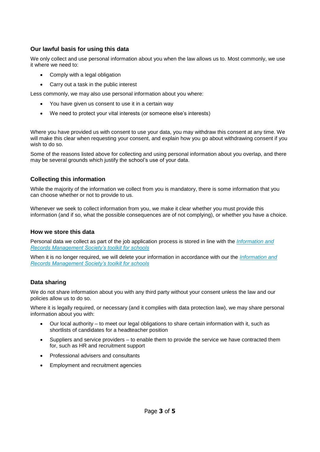## **Our lawful basis for using this data**

We only collect and use personal information about you when the law allows us to. Most commonly, we use it where we need to:

- Comply with a legal obligation
- Carry out a task in the public interest

Less commonly, we may also use personal information about you where:

- You have given us consent to use it in a certain way
- We need to protect your vital interests (or someone else's interests)

Where you have provided us with consent to use your data, you may withdraw this consent at any time. We will make this clear when requesting your consent, and explain how you go about withdrawing consent if you wish to do so.

Some of the reasons listed above for collecting and using personal information about you overlap, and there may be several grounds which justify the school's use of your data.

## **Collecting this information**

While the majority of the information we collect from you is mandatory, there is some information that you can choose whether or not to provide to us.

Whenever we seek to collect information from you, we make it clear whether you must provide this information (and if so, what the possible consequences are of not complying), or whether you have a choice.

#### **How we store this data**

Personal data we collect as part of the job application process is stored in line with the *[Information and](http://irms.org.uk/?page=schoolstoolkit&terms=%22toolkit+and+schools%22)  [Records Management Society's toolkit for schools](http://irms.org.uk/?page=schoolstoolkit&terms=%22toolkit+and+schools%22)*

When it is no longer required, we will delete your information in accordance with our the *[Information and](http://irms.org.uk/?page=schoolstoolkit&terms=%22toolkit+and+schools%22)  [Records Management Society's toolkit for schools](http://irms.org.uk/?page=schoolstoolkit&terms=%22toolkit+and+schools%22)*

#### **Data sharing**

We do not share information about you with any third party without your consent unless the law and our policies allow us to do so.

Where it is legally required, or necessary (and it complies with data protection law), we may share personal information about you with:

- Our local authority to meet our legal obligations to share certain information with it, such as shortlists of candidates for a headteacher position
- Suppliers and service providers to enable them to provide the service we have contracted them for, such as HR and recruitment support
- Professional advisers and consultants
- Employment and recruitment agencies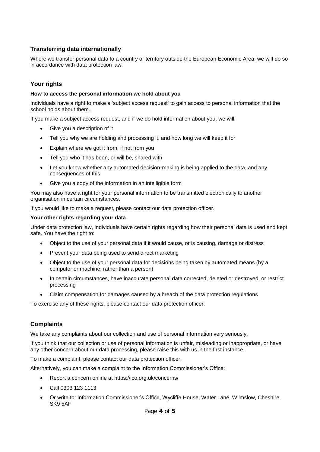## **Transferring data internationally**

Where we transfer personal data to a country or territory outside the European Economic Area, we will do so in accordance with data protection law.

#### **Your rights**

#### **How to access the personal information we hold about you**

Individuals have a right to make a 'subject access request' to gain access to personal information that the school holds about them.

If you make a subject access request, and if we do hold information about you, we will:

- Give you a description of it
- Tell you why we are holding and processing it, and how long we will keep it for
- Explain where we got it from, if not from you
- Tell you who it has been, or will be, shared with
- Let you know whether any automated decision-making is being applied to the data, and any consequences of this
- Give you a copy of the information in an intelligible form

You may also have a right for your personal information to be transmitted electronically to another organisation in certain circumstances.

If you would like to make a request, please contact our data protection officer.

#### **Your other rights regarding your data**

Under data protection law, individuals have certain rights regarding how their personal data is used and kept safe. You have the right to:

- Object to the use of your personal data if it would cause, or is causing, damage or distress
- Prevent your data being used to send direct marketing
- Object to the use of your personal data for decisions being taken by automated means (by a computer or machine, rather than a person)
- In certain circumstances, have inaccurate personal data corrected, deleted or destroyed, or restrict processing
- Claim compensation for damages caused by a breach of the data protection regulations

To exercise any of these rights, please contact our data protection officer.

## **Complaints**

We take any complaints about our collection and use of personal information very seriously.

If you think that our collection or use of personal information is unfair, misleading or inappropriate, or have any other concern about our data processing, please raise this with us in the first instance.

To make a complaint, please contact our data protection officer.

Alternatively, you can make a complaint to the Information Commissioner's Office:

- Report a concern online at<https://ico.org.uk/concerns/>
- Call 0303 123 1113
- Or write to: Information Commissioner's Office, Wycliffe House, Water Lane, Wilmslow, Cheshire, SK9 5AF